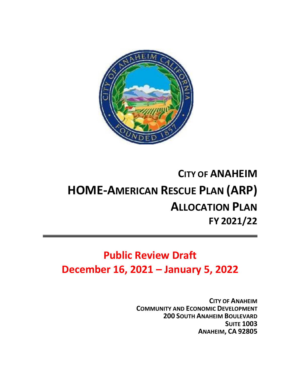

# **CITY OF ANAHEIM HOME-AMERICAN RESCUE PLAN (ARP) ALLOCATION PLAN FY 2021/22**

## **Public Review Draft December 16, 2021 – January 5, 2022**

**CITY OF ANAHEIM COMMUNITY AND ECONOMIC DEVELOPMENT 200 SOUTH ANAHEIM BOULEVARD SUITE 1003 ANAHEIM, CA 92805**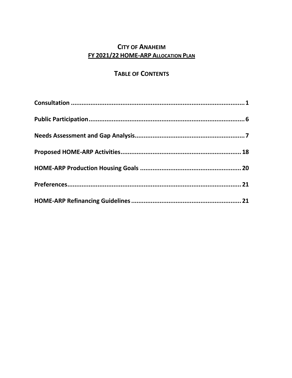## **CITY OF ANAHEIM** FY 2021/22 HOME-ARP ALLOCATION PLAN

## **TABLE OF CONTENTS**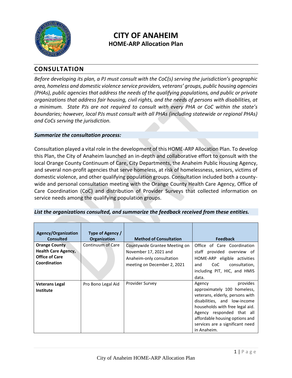<span id="page-2-0"></span>

## **CITY OF ANAHEIM HOME-ARP Allocation Plan**

#### **CONSULTATION**

*Before developing its plan, a PJ must consult with the CoC(s) serving the jurisdiction's geographic area, homeless and domestic violence service providers, veterans' groups, public housing agencies (PHAs), public agencies that address the needs of the qualifying populations, and public or private organizations that address fair housing, civil rights, and the needs of persons with disabilities, at a minimum. State PJs are not required to consult with every PHA or CoC within the state's boundaries; however, local PJs must consult with all PHAs (including statewide or regional PHAs) and CoCs serving the jurisdiction.*

#### *Summarize the consultation process:*

Consultation played a vital role in the development of this HOME-ARP Allocation Plan. To develop this Plan, the City of Anaheim launched an in-depth and collaborative effort to consult with the local Orange County Continuum of Care, City Departments, the Anaheim Public Housing Agency, and several non-profit agencies that serve homeless, at risk of homelessness, seniors, victims of domestic violence, and other qualifying population groups. Consultation included both a countywide and personal consultation meeting with the Orange County Health Care Agency, Office of Care Coordination (CoC) and distribution of Provider Surveys that collected information on service needs among the qualifying population groups.

#### *List the organizations consulted, and summarize the feedback received from these entities.*

| Agency/Organization<br><b>Consulted</b>                                                     | Type of Agency /<br>Organization | <b>Method of Consultation</b>                                                                                      | <b>Feedback</b>                                                                                                                                                                                                                                                          |
|---------------------------------------------------------------------------------------------|----------------------------------|--------------------------------------------------------------------------------------------------------------------|--------------------------------------------------------------------------------------------------------------------------------------------------------------------------------------------------------------------------------------------------------------------------|
| <b>Orange County</b><br><b>Health Care Agency,</b><br><b>Office of Care</b><br>Coordination | Continuum of Care                | Countywide Grantee Meeting on<br>November 17, 2021 and<br>Anaheim-only consultation<br>meeting on December 2, 2021 | Office of Care Coordination<br>staff provided overview of<br>HOME-ARP eligible activities<br>consultation,<br>CoC<br>and<br>including PIT, HIC, and HMIS<br>data.                                                                                                        |
| <b>Veterans Legal</b><br><b>Institute</b>                                                   | Pro Bono Legal Aid               | Provider Survey                                                                                                    | provides<br>Agency<br>approximately 100 homeless,<br>veterans, elderly, persons with<br>disabilities, and low-income<br>households with free legal aid.<br>Agency responded that all<br>affordable housing options and<br>services are a significant need<br>in Anaheim. |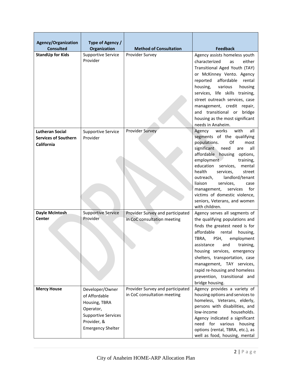| <b>Agency/Organization</b>                                          | Type of Agency /                                                                                                                        |                                                                 |                                                                                                                                                                                                                                                                                                                                                                                                                                                           |
|---------------------------------------------------------------------|-----------------------------------------------------------------------------------------------------------------------------------------|-----------------------------------------------------------------|-----------------------------------------------------------------------------------------------------------------------------------------------------------------------------------------------------------------------------------------------------------------------------------------------------------------------------------------------------------------------------------------------------------------------------------------------------------|
| <b>Consulted</b>                                                    | Organization                                                                                                                            | <b>Method of Consultation</b>                                   | <b>Feedback</b>                                                                                                                                                                                                                                                                                                                                                                                                                                           |
| <b>StandUp for Kids</b>                                             | <b>Supportive Service</b><br>Provider                                                                                                   | <b>Provider Survey</b>                                          | Agency assists homeless youth<br>characterized<br>either<br>as<br>Transitional Aged Youth (TAY)<br>or McKinney Vento. Agency<br>affordable<br>rental<br>reported<br>housing,<br>various<br>housing<br>services, life skills training,<br>street outreach services, case<br>management, credit repair,<br>and transitional or<br>bridge<br>housing as the most significant<br>needs in Anaheim.                                                            |
| <b>Lutheran Social</b><br><b>Services of Southern</b><br>California | <b>Supportive Service</b><br>Provider                                                                                                   | Provider Survey                                                 | with<br>works<br>Agency<br>all<br>segments of the qualifying<br>populations.<br>Of<br>most<br>significant<br>need<br>all<br>are<br>affordable<br>housing<br>options,<br>employment<br>training,<br>education<br>services,<br>mental<br>health<br>services,<br>street<br>landlord/tenant<br>outreach,<br>liaison<br>services,<br>case<br>for<br>management,<br>services<br>victims of domestic violence,<br>seniors, Veterans, and women<br>with children. |
| Dayle McIntosh<br>Center                                            | <b>Supportive Service</b><br>Provider                                                                                                   | Provider Survey and participated<br>in CoC consultation meeting | Agency serves all segments of<br>the qualifying populations and<br>finds the greatest need is for<br>affordable<br>rental<br>housing,<br>PSH,<br>TBRA,<br>employment<br>training,<br>assistance<br>and<br>housing services, emergency<br>shelters, transportation, case<br>management, TAY services,<br>rapid re-housing and homeless<br>prevention, transitional and<br>bridge housing.                                                                  |
| <b>Mercy House</b>                                                  | Developer/Owner<br>of Affordable<br>Housing, TBRA<br>Operator,<br><b>Supportive Services</b><br>Provider, &<br><b>Emergency Shelter</b> | Provider Survey and participated<br>in CoC consultation meeting | Agency provides a variety of<br>housing options and services to<br>homeless, Veterans, elderly,<br>persons with disabilities, and<br>households.<br>low-income<br>Agency indicated a significant<br>need for various housing<br>options (rental, TBRA, etc.), as<br>well as food, housing, mental                                                                                                                                                         |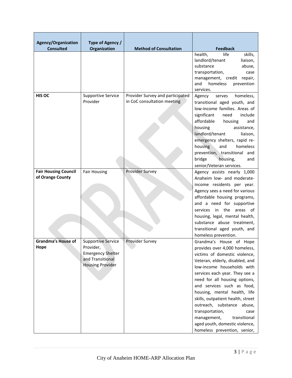| <b>Agency/Organization</b><br><b>Consulted</b>  | Type of Agency /<br>Organization                                                                                  | <b>Method of Consultation</b>                                   | <b>Feedback</b>                                                                                                                                                                                                                                                                                                                                                                                                                                                                            |
|-------------------------------------------------|-------------------------------------------------------------------------------------------------------------------|-----------------------------------------------------------------|--------------------------------------------------------------------------------------------------------------------------------------------------------------------------------------------------------------------------------------------------------------------------------------------------------------------------------------------------------------------------------------------------------------------------------------------------------------------------------------------|
|                                                 |                                                                                                                   |                                                                 | life<br>health,<br>skills,<br>landlord/tenant<br>liaison,<br>substance<br>abuse,<br>transportation,<br>case<br>management, credit repair,<br>and<br>homeless<br>prevention<br>services.                                                                                                                                                                                                                                                                                                    |
| HIS OC                                          | <b>Supportive Service</b><br>Provider                                                                             | Provider Survey and participated<br>in CoC consultation meeting | homeless,<br>Agency<br>serves<br>transitional aged youth, and<br>low-income families. Areas of<br>significant<br>include<br>need<br>affordable<br>housing<br>and<br>housing<br>assistance,<br>landlord/tenant<br>liaison,<br>emergency shelters, rapid re-<br>housing<br>homeless<br>and<br>prevention, transitional and<br>bridge<br>housing,<br>and<br>senior/Veteran services.                                                                                                          |
| <b>Fair Housing Council</b><br>of Orange County | <b>Fair Housing</b>                                                                                               | Provider Survey                                                 | Agency assists nearly 1,000<br>Anaheim low- and moderate-<br>income residents per year.<br>Agency sees a need for various<br>affordable housing programs,<br>and a need for supportive<br>the<br>services<br>in<br>areas of<br>housing, legal, mental health,<br>substance abuse treatment,<br>transitional aged youth, and<br>homeless prevention.                                                                                                                                        |
| <b>Grandma's House of</b><br>Hope               | <b>Supportive Service</b><br>Provider,<br><b>Emergency Shelter</b><br>and Transitional<br><b>Housing Provider</b> | Provider Survey                                                 | Grandma's House of Hope<br>provides over 4,000 homeless,<br>victims of domestic violence,<br>Veteran, elderly, disabled, and<br>low-income households with<br>services each year. They see a<br>need for all housing options,<br>and services such as food,<br>housing, mental health, life<br>skills, outpatient health, street<br>outreach, substance abuse,<br>transportation,<br>case<br>transitional<br>management,<br>aged youth, domestic violence,<br>homeless prevention, senior, |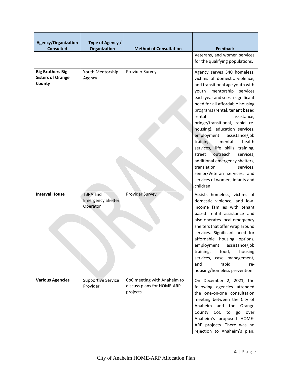| <b>Agency/Organization</b>                                    | Type of Agency /                                        |                                                                       |                                                                                                                                                                                                                                                                                                                                                                                                                                                                                                                                                                                                                          |
|---------------------------------------------------------------|---------------------------------------------------------|-----------------------------------------------------------------------|--------------------------------------------------------------------------------------------------------------------------------------------------------------------------------------------------------------------------------------------------------------------------------------------------------------------------------------------------------------------------------------------------------------------------------------------------------------------------------------------------------------------------------------------------------------------------------------------------------------------------|
| <b>Consulted</b>                                              | Organization                                            | <b>Method of Consultation</b>                                         | <b>Feedback</b><br>Veterans, and women services                                                                                                                                                                                                                                                                                                                                                                                                                                                                                                                                                                          |
|                                                               |                                                         |                                                                       | for the qualifying populations.                                                                                                                                                                                                                                                                                                                                                                                                                                                                                                                                                                                          |
| <b>Big Brothers Big</b><br><b>Sisters of Orange</b><br>County | Youth Mentorship<br>Agency                              | Provider Survey                                                       | Agency serves 340 homeless,<br>victims of domestic violence,<br>and transitional age youth with<br>mentorship services<br>youth<br>each year and sees a significant<br>need for all affordable housing<br>programs (rental, tenant based<br>rental<br>assistance,<br>bridge/transitional, rapid re-<br>housing), education services,<br>employment<br>assistance/job<br>health<br>training,<br>mental<br>services, life skills training,<br>outreach<br>services,<br>street<br>additional emergency shelters,<br>translation<br>services.<br>senior/Veteran services, and<br>services of women, infants and<br>children. |
| <b>Interval House</b>                                         | <b>TBRA</b> and<br><b>Emergency Shelter</b><br>Operator | <b>Provider Survey</b>                                                | Assists homeless, victims of<br>domestic violence, and low-<br>income families with tenant<br>based rental assistance and<br>also operates local emergency<br>shelters that offer wrap around<br>services. Significant need for<br>affordable housing options,<br>employment assistance/job<br>food,<br>training,<br>housing<br>services, case management,<br>rapid<br>and<br>re-<br>housing/homeless prevention.                                                                                                                                                                                                        |
| <b>Various Agencies</b>                                       | <b>Supportive Service</b><br>Provider                   | CoC meeting with Anaheim to<br>discuss plans for HOME-ARP<br>projects | On December 2, 2021, the<br>following agencies attended<br>the one-on-one consultation<br>meeting between the City of<br>Anaheim and the Orange<br>County CoC to go over<br>Anaheim's proposed HOME-<br>ARP projects. There was no<br>rejection to Anaheim's plan.                                                                                                                                                                                                                                                                                                                                                       |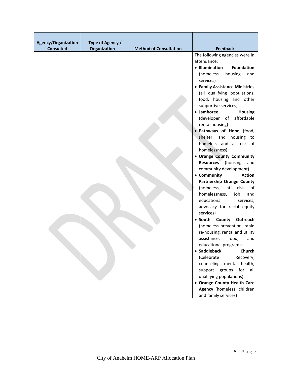| <b>Agency/Organization</b><br><b>Consulted</b> | Type of Agency /<br>Organization | <b>Method of Consultation</b> | <b>Feedback</b>                                         |
|------------------------------------------------|----------------------------------|-------------------------------|---------------------------------------------------------|
|                                                |                                  |                               | The following agencies were in<br>attendance:           |
|                                                |                                  |                               | • Illumination<br><b>Foundation</b>                     |
|                                                |                                  |                               | (homeless<br>housing<br>and<br>services)                |
|                                                |                                  |                               | • Family Assistance Ministries                          |
|                                                |                                  |                               | (all qualifying populations,<br>food, housing and other |
|                                                |                                  |                               | supportive services)                                    |
|                                                |                                  |                               | • Jamboree<br>Housing<br>(developer of affordable       |
|                                                |                                  |                               | rental housing)                                         |
|                                                |                                  |                               | · Pathways of Hope (food,                               |
|                                                |                                  |                               | shelter, and housing to<br>homeless and at risk of      |
|                                                |                                  |                               | homelessness)                                           |
|                                                |                                  |                               | • Orange County Community                               |
|                                                |                                  |                               | (housing<br>Resources<br>and                            |
|                                                |                                  |                               | community development)                                  |
|                                                |                                  |                               | • Community<br><b>Action</b>                            |
|                                                |                                  |                               | Partnership Orange County                               |
|                                                |                                  |                               | (homeless,<br>at<br>risk<br>of                          |
|                                                |                                  |                               | homelessness,<br>job<br>and                             |
|                                                |                                  |                               | educational<br>services,                                |
|                                                |                                  |                               | advocacy for racial equity<br>services)                 |
|                                                |                                  |                               | • South County<br>Outreach                              |
|                                                |                                  |                               | (homeless prevention, rapid                             |
|                                                |                                  |                               | re-housing, rental and utility                          |
|                                                |                                  |                               | assistance,<br>food,<br>and                             |
|                                                |                                  |                               | educational programs)                                   |
|                                                |                                  |                               | • Saddleback<br>Church                                  |
|                                                |                                  |                               | (Celebrate<br>Recovery,                                 |
|                                                |                                  |                               | counseling, mental health,                              |
|                                                |                                  |                               | support groups<br>for<br>all                            |
|                                                |                                  |                               | qualifying populations)<br>• Orange County Health Care  |
|                                                |                                  |                               | Agency (homeless, children                              |
|                                                |                                  |                               | and family services)                                    |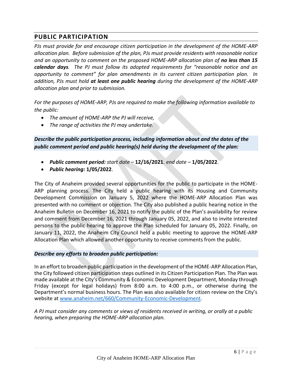#### <span id="page-7-0"></span>**PUBLIC PARTICIPATION**

*PJs must provide for and encourage citizen participation in the development of the HOME-ARP allocation plan. Before submission of the plan, PJs must provide residents with reasonable notice and an opportunity to comment on the proposed HOME-ARP allocation plan of no less than 15 calendar days. The PJ must follow its adopted requirements for "reasonable notice and an opportunity to comment" for plan amendments in its current citizen participation plan. In addition, PJs must hold at least one public hearing during the development of the HOME-ARP allocation plan and prior to submission.*

*For the purposes of HOME-ARP, PJs are required to make the following information available to the public:*

- *The amount of HOME-ARP the PJ will receive,*
- *The range of activities the PJ may undertake.*

#### *Describe the public participation process, including information about and the dates of the public comment period and public hearing(s) held during the development of the plan:*

- *Public comment period: start date –* **12/16/2021**. *end date –* **1/05/2022**.
- *Public hearing:* **1/05/2022**.

The City of Anaheim provided several opportunities for the public to participate in the HOME-ARP planning process. The City held a public hearing with its Housing and Community Development Commission on January 5, 2022 where the HOME-ARP Allocation Plan was presented with no comment or objection. The City also published a public hearing notice in the Anaheim Bulletin on December 16, 2021 to notify the public of the Plan's availability for review and comment from December 16, 2021 through January 05, 2022, and also to invite interested persons to the public hearing to approve the Plan scheduled for January 05, 2022. Finally, on January 11, 2022, the Anaheim City Council held a public meeting to approve the HOME-ARP Allocation Plan which allowed another opportunity to receive comments from the public.

#### *Describe any efforts to broaden public participation:*

In an effort to broaden public participation in the development of the HOME-ARP Allocation Plan, the City followed citizen participation steps outlined in its Citizen Participation Plan. The Plan was made available at the City's Community & Economic Development Department, Monday through Friday (except for legal holidays) from 8:00 a.m. to 4:00 p.m., or otherwise during the Department's normal business hours. The Plan was also available for citizen review on the City's website at [www.anaheim.net/660/Community-Economic-](http://www.anaheim.net/660/Community-Economic)Development.

*A PJ must consider any comments or views of residents received in writing, or orally at a public hearing, when preparing the HOME-ARP allocation plan.*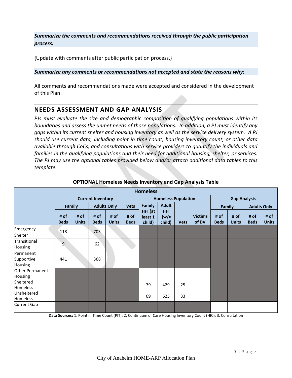#### <span id="page-8-0"></span>*Summarize the comments and recommendations received through the public participation process:*

{Update with comments after public participation process.}

#### *Summarize any comments or recommendations not accepted and state the reasons why:*

All comments and recommendations made were accepted and considered in the development of this Plan.

#### **NEEDS ASSESSMENT AND GAP ANALYSIS**

*PJs must evaluate the size and demographic composition of qualifying populations within its boundaries and assess the unmet needs of those populations. In addition, a PJ must identify any gaps within its current shelter and housing inventory as well as the service delivery system. A PJ should use current data, including point in time count, housing inventory count, or other data available through CoCs, and consultations with service providers to quantify the individuals and families in the qualifying populations and their need for additional housing, shelter, or services. The PJ may use the optional tables provided below and/or attach additional data tables to this template.*

| <b>Homeless</b>                    |                          |                                     |                     |                              |                            |                             |                              |                     |                         |                     |                      |                     |                      |
|------------------------------------|--------------------------|-------------------------------------|---------------------|------------------------------|----------------------------|-----------------------------|------------------------------|---------------------|-------------------------|---------------------|----------------------|---------------------|----------------------|
|                                    | <b>Current Inventory</b> |                                     |                     |                              | <b>Homeless Population</b> |                             |                              | <b>Gap Analysis</b> |                         |                     |                      |                     |                      |
|                                    |                          | <b>Adults Only</b><br><b>Family</b> |                     | <b>Family</b><br><b>Vets</b> | <b>Adult</b>               |                             |                              |                     | Family                  |                     | <b>Adults Only</b>   |                     |                      |
|                                    | # of<br><b>Beds</b>      | # of<br><b>Units</b>                | # of<br><b>Beds</b> | # of<br><b>Units</b>         | # of<br><b>Beds</b>        | HH (at<br>least 1<br>child) | <b>HH</b><br>(w/o)<br>child) | <b>Vets</b>         | <b>Victims</b><br>of DV | # of<br><b>Beds</b> | # of<br><b>Units</b> | # of<br><b>Beds</b> | # of<br><b>Units</b> |
| Emergency<br>Shelter               | 118                      |                                     | 703                 |                              |                            |                             |                              |                     |                         |                     |                      |                     |                      |
| Transitional<br><b>Housing</b>     | 9                        |                                     | 62                  |                              |                            |                             |                              |                     |                         |                     |                      |                     |                      |
| Permanent<br>Supportive<br>Housing | 441                      |                                     | 368                 |                              |                            |                             |                              |                     |                         |                     |                      |                     |                      |
| <b>Other Permanent</b><br>Housing  |                          |                                     |                     |                              |                            |                             |                              |                     |                         |                     |                      |                     |                      |
| Sheltered<br>Homeless              |                          |                                     |                     |                              |                            | 79                          | 429                          | 25                  |                         |                     |                      |                     |                      |
| Unsheltered<br>Homeless            |                          |                                     |                     |                              |                            | 69                          | 625                          | 33                  |                         |                     |                      |                     |                      |
| <b>Current Gap</b>                 |                          |                                     |                     |                              |                            |                             |                              |                     |                         |                     |                      |                     |                      |

#### **OPTIONAL Homeless Needs Inventory and Gap Analysis Table**

**Data Sources:** 1. Point in Time Count (PIT); 2. Continuum of Care Housing Inventory Count (HIC); 3. Consultation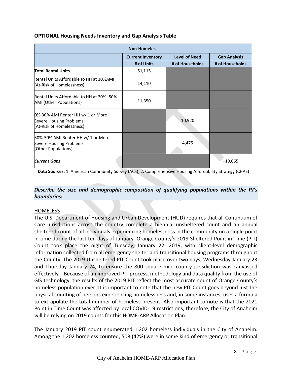|                                                                                           | <b>Non-Homeless</b>                    |                                         |                                        |
|-------------------------------------------------------------------------------------------|----------------------------------------|-----------------------------------------|----------------------------------------|
|                                                                                           | <b>Current Inventory</b><br># of Units | <b>Level of Need</b><br># of Households | <b>Gap Analysis</b><br># of Households |
| <b>Total Rental Units</b>                                                                 | 51,115                                 |                                         |                                        |
| Rental Units Affordable to HH at 30%AMI<br>(At-Risk of Homelessness)                      | 14,110                                 |                                         |                                        |
| Rental Units Affordable to HH at 30% -50%<br><b>AMI (Other Populations)</b>               | 11,350                                 |                                         |                                        |
| 0%-30% AMI Renter HH w/ 1 or More<br>Severe Housing Problems<br>(At-Risk of Homelessness) |                                        | 10,920                                  |                                        |
| 30%-50% AMI Renter HH w/ 1 or More<br>Severe Housing Problems<br>(Other Populations)      |                                        | 4,475                                   |                                        |
| <b>Current Gaps</b>                                                                       |                                        |                                         | $+10,065$                              |

#### **OPTIONAL Housing Needs Inventory and Gap Analysis Table**

**Data Sources:** 1. American Community Survey (ACS); 2. Comprehensive Housing Affordability Strategy (CHAS)

#### *Describe the size and demographic composition of qualifying populations within the PJ's boundaries:*

#### **HOMELESS**

The U.S. Department of Housing and Urban Development (HUD) requires that all Continuum of Care jurisdictions across the country complete a biennial unsheltered count and an annual sheltered count of all individuals experiencing homelessness in the community on a single point in time during the last ten days of January. Orange County's 2019 Sheltered Point in Time (PIT) Count took place the night of Tuesday, January 22, 2019, with client-level demographic information collected from all emergency shelter and transitional housing programs throughout the County. The 2019 Unsheltered PIT Count took place over two days, Wednesday January 23 and Thursday January 24, to ensure the 800 square mile county jurisdiction was canvassed effectively. Because of an improved PIT process, methodology and data quality from the use of GIS technology, the results of the 2019 PIT reflect the most accurate count of Orange County's homeless population ever. It is important to note that the new PIT Count goes beyond just the physical counting of persons experiencing homelessness and, in some instances, uses a formula to extrapolate the total number of homeless present. Also important to note is that the 2021 Point in Time Count was affected by local COVID-19 restrictions; therefore, the City of Anaheim will be relying on 2019 counts for this HOME-ARP Allocation Plan.

The January 2019 PIT count enumerated 1,202 homeless individuals in the City of Anaheim. Among the 1,202 homeless counted, 508 (42%) were in some kind of emergency or transitional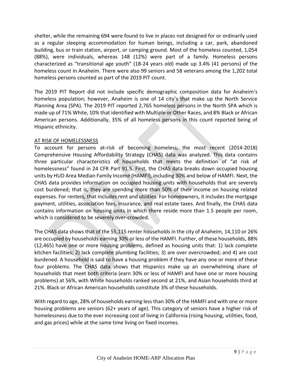shelter, while the remaining 694 were found to live in places not designed for or ordinarily used as a regular sleeping accommodation for human beings, including a car, park, abandoned building, bus or train station, airport, or camping ground. Most of the homeless counted, 1,054 (88%), were individuals, whereas 148 (12%) were part of a family. Homeless persons characterized as "transitional age youth" (18-24 years old) made up 3.4% (41 persons) of the homeless count in Anaheim. There were also 99 seniors and 58 veterans among the 1,202 total homeless persons counted as part of the 2019 PIT count.

The 2019 PIT Report did not include specific demographic composition data for Anaheim's homeless population; however, Anaheim is one of 14 city's that make up the North Service Planning Area (SPA). The 2019 PIT reported 2,765 homeless persons in the North SPA which is made up of 71% White, 10% that identified with Multiple or Other Races, and 8% Black or African American persons. Additionally, 35% of all homeless persons in this count reported being of Hispanic ethnicity.

#### AT RISK OF HOMELESSNESS

To account for persons at-risk of becoming homeless, the most recent (2014-2018) Comprehensive Housing Affordability Strategy (CHAS) data was analyzed. This data contains three particular characteristics of households that meets the definition of "at risk of homelessness" found in 24 CFR Part 91.5. First, the CHAS data breaks down occupied housing units by HUD Area Median Family Income (HAMFI), including 30% and below of HAMFI. Next, the CHAS data provides information on occupied housing units with households that are severely cost burdened; that is, they are spending more than 50% of their income on housing related expenses. For renters, that includes rent and utilities. For homeowners, it includes the mortgage payment, utilities, association fees, insurance, and real estate taxes. And finally, the CHAS data contains information on housing units in which there reside more than 1.5 people per room, which is considered to be severely over-crowded.

The CHAS data shows that of the 55,115 renter households in the city of Anaheim, 14,110 or 26% are occupied by households earning 30% or less of the HAMFI. Further, of these households, 88% (12,465) have one or more housing problems, defined as housing units that: 1) lack complete kitchen facilities; 2) lack complete plumbing facilities; 3) are over overcrowded; and 4) are cost burdened. A household is said to have a housing problem if they have any one or more of these four problems. The CHAS data shows that Hispanics make up an overwhelming share of households that meet both criteria (earn 30% or less of HAMFI and have one or more housing problems) at 56%, with White households ranked second at 21%, and Asian households third at 21%. Black or African American households constitute 3% of these households.

With regard to age, 28% of households earning less than 30% of the HAMFI and with one or more housing problems are seniors (62+ years of age). This category of seniors have a higher risk of homelessness due to the ever increasing cost of living in California (rising housing, utilities, food, and gas prices) while at the same time living on fixed incomes.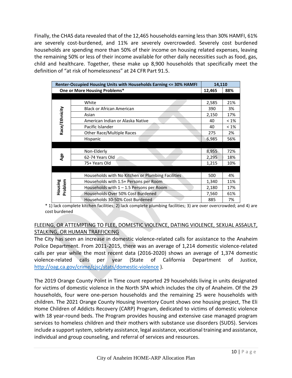Finally, the CHAS data revealed that of the 12,465 households earning less than 30% HAMFI, 61% are severely cost-burdened, and 11% are severely overcrowded. Severely cost burdened households are spending more than 50% of their income on housing related expenses, leaving the remaining 50% or less of their income available for other daily necessities such as food, gas, child and healthcare. Together, these make up 8,900 households that specifically meet the definition of "at risk of homelessness" at 24 CFR Part 91.5.

| Renter-Occupied Housing Units with Households Earning <= 30% HAMFI | 14,110                                            |        |         |
|--------------------------------------------------------------------|---------------------------------------------------|--------|---------|
|                                                                    | One or More Housing Problems*                     | 12,465 | 88%     |
|                                                                    |                                                   |        |         |
|                                                                    | White                                             | 2,585  | 21%     |
|                                                                    | <b>Black or African American</b>                  | 390    | 3%      |
|                                                                    | Asian                                             | 2,150  | 17%     |
| Race/Ethnicity                                                     | American Indian or Alaska Native                  | 40     | $< 1\%$ |
|                                                                    | Pacific Islander                                  | 40     | $< 1\%$ |
|                                                                    | Other Race/Multiple Races                         | 275    | 2%      |
|                                                                    | Hispanic                                          | 6,985  | 56%     |
|                                                                    |                                                   |        |         |
|                                                                    | Non-Elderly                                       | 8,955  | 72%     |
| Age                                                                | 62-74 Years Old                                   | 2,295  | 18%     |
|                                                                    | 75+ Years Old                                     | 1,215  | 10%     |
|                                                                    |                                                   |        |         |
|                                                                    | Households with No Kitchen or Plumbing Facilities | 500    | 4%      |
|                                                                    | Households with 1.5+ Persons per Room             | 1,340  | 11%     |
| Housing<br>Problem                                                 | Households with $1 - 1.5$ Persons per Room        | 2,180  | 17%     |
|                                                                    | Households Over 50% Cost Burdened                 | 7,560  | 61%     |
|                                                                    | Households 30-50% Cost Burdened                   | 885    | 7%      |

\* 1) lack complete kitchen facilities; 2) lack complete plumbing facilities; 3) are over overcrowded; and 4) are cost burdened

#### FLEEING, OR ATTEMPTING TO FLEE, DOMESTIC VIOLENCE, DATING VIOLENCE, SEXUAL ASSAULT, STALKING, OR HUMAN TRAFFICKING

The City has seen an increase in domestic violence-related calls for assistance to the Anaheim Police Department. From 2011-2015, there was an average of 1,214 domestic violence-related calls per year while the most recent data (2016-2020) shows an average of 1,374 domestic violence-related calls per year (State of California Department of Justice, [http://oag.ca.gov/crime/cjsc/stats/domestic‐v](http://oag.ca.gov/crime/cjsc/stats/domestic‐violence)iolence ).

The 2019 Orange County Point in Time count reported 29 households living in units designated for victims of domestic violence in the North SPA which includes the city of Anaheim. Of the 29 households, four were one-person households and the remaining 25 were households with children. The 2021 Orange County Housing Inventory Count shows one housing project, The Eli Home Children of Addicts Recovery (CARP) Program, dedicated to victims of domestic violence with 18 year-round beds. The Program provides housing and extensive case managed program services to homeless children and their mothers with substance use disorders (SUDS). Services include a support system, sobriety assistance, legal assistance, vocational training and assistance, individual and group counseling, and referral of services and resources.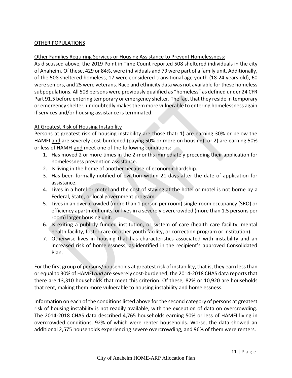#### OTHER POPULATIONS

#### Other Families Requiring Services or Housing Assistance to Prevent Homelessness:

As discussed above, the 2019 Point in Time Count reported 508 sheltered individuals in the city of Anaheim. Of these, 429 or 84%, were individuals and 79 were part of a family unit. Additionally, of the 508 sheltered homeless, 17 were considered transitional age youth (18-24 years old), 60 were seniors, and 25 were veterans. Race and ethnicity data was not available for these homeless subpopulations. All 508 persons were previously qualified as "homeless" as defined under 24 CFR Part 91.5 before entering temporary or emergency shelter. The fact that they reside in temporary or emergency shelter, undoubtedly makes them more vulnerable to entering homelessness again if services and/or housing assistance is terminated.

#### At Greatest Risk of Housing Instability

Persons at greatest risk of housing instability are those that: 1) are earning 30% or below the HAMFI and are severely cost-burdened (paying 50% or more on housing); or 2) are earning 50% or less of HAMFI and meet one of the following conditions:

- 1. Has moved 2 or more times in the 2-months immediately preceding their application for homelessness prevention assistance.
- 2. Is living in the home of another because of economic hardship.
- 3. Has been formally notified of eviction within 21 days after the date of application for assistance.
- 4. Lives in a hotel or motel and the cost of staying at the hotel or motel is not borne by a Federal, State, or local government program.
- 5. Lives in an over-crowded (more than 1 person per room) single-room occupancy (SRO) or efficiency apartment units, or lives in a severely overcrowded (more than 1.5 persons per room) larger housing unit.
- 6. Is exiting a publicly funded institution, or system of care (health care facility, mental health facility, foster care or other youth facility, or correction program or institution).
- 7. Otherwise lives in housing that has characteristics associated with instability and an increased risk of homelessness, as identified in the recipient's approved Consolidated Plan.

For the first group of persons/households at greatest risk of instability, that is, they earn less than or equal to 30% of HAMFI *and* are severely cost-burdened, the 2014-2018 CHAS data reports that there are 13,310 households that meet this criterion. Of these, 82% or 10,920 are households that rent, making them more vulnerable to housing instability and homelessness.

Information on each of the conditions listed above for the second category of persons at greatest risk of housing instability is not readily available, with the exception of data on overcrowding. The 2014-2018 CHAS data described 4,765 households earning 50% or less of HAMFI living in overcrowded conditions, 92% of which were renter households. Worse, the data showed an additional 2,575 households experiencing severe overcrowding, and 96% of them were renters.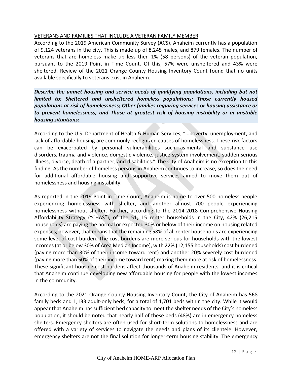#### VETERANS AND FAMILIES THAT INCLUDE A VETERAN FAMILY MEMBER

According to the 2019 American Community Survey (ACS), Anaheim currently has a population of 9,124 veterans in the city. This is made up of 8,245 males, and 879 females. The number of veterans that are homeless make up less then 1% (58 persons) of the veteran population, pursuant to the 2019 Point in Time Count. Of this, 57% were unsheltered and 43% were sheltered. Review of the 2021 Orange County Housing Inventory Count found that no units available specifically to veterans exist in Anaheim.

*Describe the unmet housing and service needs of qualifying populations, including but not limited to: Sheltered and unsheltered homeless populations; Those currently housed populations at risk of homelessness; Other families requiring services or housing assistance or to prevent homelessness; and Those at greatest risk of housing instability or in unstable housing situations:* 

According to the U.S. Department of Health & Human Services, "…poverty, unemployment, and lack of affordable housing are commonly recognized causes of homelessness. These risk factors can be exacerbated by personal vulnerabilities such as [mental and substance use](https://www.samhsa.gov/disorders)  [disorders,](https://www.samhsa.gov/disorders) [trauma and violence,](https://www.samhsa.gov/trauma-violence) [domestic violence,](https://www.samhsa.gov/homelessness-programs-resources/hpr-resources/domestic-violence-homelessness) justice-system involvement, sudden serious illness, divorce, death of a partner, and disabilities." The City of Anaheim is no exception to this finding. As the number of homeless persons in Anaheim continues to increase, so does the need for additional affordable housing and supportive services aimed to move them out of homelessness and housing instability.

As reported in the 2019 Point in Time Count, Anaheim is home to over 500 homeless people experiencing homelessness with shelter, and another almost 700 people experiencing homelessness without shelter. Further, according to the 2014-2018 Comprehensive Housing Affordability Strategy ("CHAS"), of the 51,115 renter households in the City, 42% (26,215 households) are paying the normal or expected 30% or below of their income on housing related expenses; however, that means that the remaining 58% of all renter households are experiencing some level of cost burden. The cost burdens are more serious for households with the lowest incomes (at or below 30% of Area Median Income), with 22% (12,155 households) cost burdened (paying more than 30% of their income toward rent) and another 20% severely cost burdened (paying more than 50% of their income toward rent) making them more at risk of homelessness. These significant housing cost burdens affect thousands of Anaheim residents, and it is critical that Anaheim continue developing new affordable housing for people with the lowest incomes in the community.

According to the 2021 Orange County Housing Inventory Count, the City of Anaheim has 568 family beds and 1,133 adult-only beds, for a total of 1,701 beds within the city. While it would appear that Anaheim has sufficient bed capacity to meet the shelter needs of the City's homeless population, it should be noted that nearly half of these beds (48%) are in emergency homeless shelters. Emergency shelters are often used for short-term solutions to homelessness and are offered with a variety of services to navigate the needs and plans of its clientele. However, emergency shelters are not the final solution for longer-term housing stability. The emergency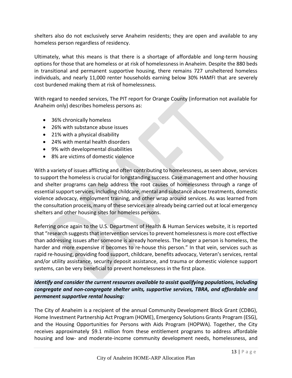shelters also do not exclusively serve Anaheim residents; they are open and available to any homeless person regardless of residency.

Ultimately, what this means is that there is a shortage of affordable and long-term housing options for those that are homeless or at risk of homelessness in Anaheim. Despite the 880 beds in transitional and permanent supportive housing, there remains 727 unsheltered homeless individuals, and nearly 11,000 renter households earning below 30% HAMFI that are severely cost burdened making them at risk of homelessness.

With regard to needed services, The PIT report for Orange County (information not available for Anaheim only) describes homeless persons as:

- 36% chronically homeless
- 26% with substance abuse issues
- 21% with a physical disability
- 24% with mental health disorders
- 9% with developmental disabilities
- 8% are victims of domestic violence

With a variety of issues afflicting and often contributing to homelessness, as seen above, services to support the homeless is crucial for longstanding success. Case management and other housing and shelter programs can help address the root causes of homelessness through a range of essential support services, including childcare, mental and substance abuse treatments, domestic violence advocacy, employment training, and other wrap around services. As was learned from the consultation process, many of these services are already being carried out at local emergency shelters and other housing sites for homeless persons.

Referring once again to the U.S. Department of Health & Human Services website, it is reported that "research suggests that intervention services to prevent homelessness is more cost effective than addressing issues after someone is already homeless. The longer a person is homeless, the harder and more expensive it becomes to re-house this person." In that vein, services such as rapid re-housing, providing food support, childcare, benefits advocacy, Veteran's services, rental and/or utility assistance, security deposit assistance, and trauma or domestic violence support systems, can be very beneficial to prevent homelessness in the first place.

*Identify and consider the current resources available to assist qualifying populations, including congregate and non-congregate shelter units, supportive services, TBRA, and affordable and permanent supportive rental housing:*

The City of Anaheim is a recipient of the annual Community Development Block Grant (CDBG), Home Investment Partnership Act Program (HOME), Emergency Solutions Grants Program (ESG), and the Housing Opportunities for Persons with Aids Program (HOPWA). Together, the City receives approximately \$9.1 million from these entitlement programs to address affordable housing and low- and moderate-income community development needs, homelessness, and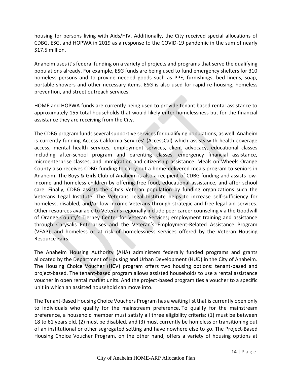housing for persons living with Aids/HIV. Additionally, the City received special allocations of CDBG, ESG, and HOPWA in 2019 as a response to the COVID-19 pandemic in the sum of nearly \$17.5 million.

Anaheim uses it's federal funding on a variety of projects and programs that serve the qualifying populations already. For example, ESG funds are being used to fund emergency shelters for 310 homeless persons and to provide needed goods such as PPE, furnishings, bed linens, soap, portable showers and other necessary items. ESG is also used for rapid re-housing, homeless prevention, and street outreach services.

HOME and HOPWA funds are currently being used to provide tenant based rental assistance to approximately 155 total households that would likely enter homelessness but for the financial assistance they are receiving from the City.

The CDBG program funds several supportive services for qualifying populations, as well. Anaheim is currently funding Access California Services' (AccessCal) which assists with health coverage access, mental health services, employment services, client advocacy, educational classes including after-school program and parenting classes, emergency financial assistance, microenterprise classes, and immigration and citizenship assistance. Meals on Wheels Orange County also receives CDBG funding to carry out a home-delivered meals program to seniors in Anaheim. The Boys & Girls Club of Anaheim is also a recipient of CDBG funding and assists lowincome and homeless children by offering free food, educational assistance, and after school care. Finally, CDBG assists the City's Veteran population by funding organizations such the Veterans Legal Institute. The Veterans Legal Institute helps to increase self-sufficiency for homeless, disabled, and/or low-income Veterans through strategic and free legal aid services. Other resources available to Veterans regionally include peer career counseling via the Goodwill of Orange County's Tierney Center for Veteran Services; employment training and assistance through Chrysalis Enterprises and the Veteran's Employment-Related Assistance Program (VEAP); and homeless or at risk of homelessness services offered by the Veteran Housing Resource Fairs.

The Anaheim Housing Authority (AHA) administers federally funded programs and grants allocated by the Department of Housing and Urban Development (HUD) in the City of Anaheim. The Housing Choice Voucher (HCV) program offers two housing options: tenant-based and project-based. The tenant-based program allows assisted households to use a rental assistance voucher in open rental market units. And the project-based program ties a voucher to a specific unit in which an assisted household can move into.

The Tenant-Based Housing Choice Vouchers Program has a waiting list that is currently open only to individuals who qualify for the mainstream preference. To qualify for the mainstream preference, a household member must satisfy all three eligibility criteria: (1) must be between 18 to 61 years old, (2) must be disabled, and (3) must currently be homeless or transitioning out of an institutional or other segregated setting and have nowhere else to go. The Project-Based Housing Choice Voucher Program, on the other hand, offers a variety of housing options at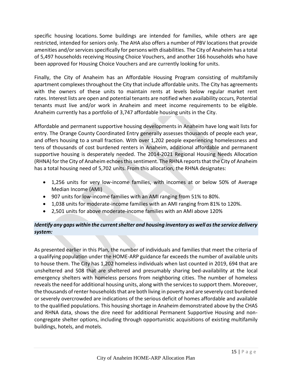specific housing locations. Some buildings are intended for families, while others are age restricted, intended for seniors only. The AHA also offers a number of PBV locations that provide amenities and/or services specifically for persons with disabilities. The City of Anaheim has a total of 5,497 households receiving Housing Choice Vouchers, and another 166 households who have been approved for Housing Choice Vouchers and are currently looking for units.

Finally, the City of Anaheim has an Affordable Housing Program consisting of multifamily apartment complexes throughout the City that include affordable units. The City has agreements with the owners of these units to maintain rents at levels below regular market rent rates. Interest lists are open and potential tenants are notified when availability occurs, Potential tenants must live and/or work in Anaheim and meet income requirements to be eligible. Anaheim currently has a portfolio of 3,747 affordable housing units in the City.

Affordable and permanent supportive housing developments in Anaheim have long wait lists for entry. The Orange County Coordinated Entry generally assesses thousands of people each year, and offers housing to a small fraction. With over 1,202 people experiencing homelessness and tens of thousands of cost burdened renters in Anaheim, additional affordable and permanent supportive housing is desperately needed. The 2014-2021 Regional Housing Needs Allocation (RHNA) for the City of Anaheim echoesthis sentiment. The RHNA reports that the City of Anaheim has a total housing need of 5,702 units. From this allocation, the RHNA designates:

- 1,256 units for very low-income families, with incomes at or below 50% of Average Median Income (AMI)
- 907 units for low-income families with an AMI ranging from 51% to 80%.
- 1,038 units for moderate-income families with an AMI ranging from 81% to 120%.
- 2,501 units for above moderate-income families with an AMI above 120%

#### *Identify any gaps within the current shelter and housing inventory as well as the service delivery system:*

As presented earlier in this Plan, the number of individuals and families that meet the criteria of a qualifying population under the HOME-ARP guidance far exceeds the number of available units to house them. The City has 1,202 homeless individuals when last counted in 2019, 694 that are unsheltered and 508 that are sheltered and presumably sharing bed-availability at the local emergency shelters with homeless persons from neighboring cities. The number of homeless reveals the need for additional housing units, along with the services to support them. Moreover, the thousands of renter households that are both living in poverty and are severely cost burdened or severely overcrowded are indications of the serious deficit of homes affordable and available to the qualified populations. This housing shortage in Anaheim demonstrated above by the CHAS and RHNA data, shows the dire need for additional Permanent Supportive Housing and noncongregate shelter options, including through opportunistic acquisitions of existing multifamily buildings, hotels, and motels.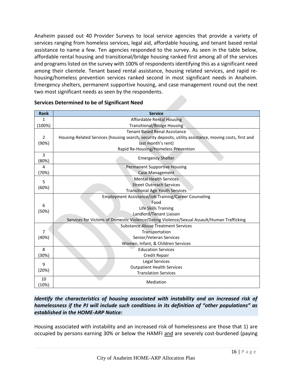Anaheim passed out 40 Provider Surveys to local service agencies that provide a variety of services ranging from homeless services, legal aid, affordable housing, and tenant based rental assistance to name a few. Ten agencies responded to the survey. As seen in the table below, affordable rental housing and transitional/bridge housing ranked first among all of the services and programs listed on the survey with 100% of respondents identifying this as a significant need among their clientele. Tenant based rental assistance, housing related services, and rapid rehousing/homeless prevention services ranked second in most significant needs in Anaheim. Emergency shelters, permanent supportive housing, and case management round out the next two most significant needs as seen by the respondents.

| Rank           | <b>Service</b>                                                                                           |
|----------------|----------------------------------------------------------------------------------------------------------|
| $\mathbf{1}$   | <b>Affordable Rental Housing</b>                                                                         |
| (100%)         | <b>Transitional/Bridge Housing</b>                                                                       |
|                | <b>Tenant Based Renal Assistance</b>                                                                     |
| $\overline{2}$ | Housing-Related Services (housing search, security deposits, utility assistance, moving costs, first and |
| (90%)          | last month's rent)                                                                                       |
|                | Rapid Re-Housing/Homeless Prevention                                                                     |
| 3              | <b>Emergency Shelter</b>                                                                                 |
| (80%)          |                                                                                                          |
| 4              | <b>Permanent Supportive Housing</b>                                                                      |
| (70%)          | <b>Case Management</b>                                                                                   |
| 5              | <b>Mental Health Services</b>                                                                            |
| (60%)          | <b>Street Outreach Services</b>                                                                          |
|                | <b>Transitional Age Youth Services</b>                                                                   |
|                | Employment Assistance/Job Training/Career Counseling                                                     |
| 6              | Food                                                                                                     |
| (50%)          | Life Skills Training                                                                                     |
|                | Landlord/Tenant Liaison                                                                                  |
|                | Services for Victims of Domestic Violence/Dating Violence/Sexual Assault/Human Trafficking               |
|                | <b>Substance Abuse Treatment Services</b>                                                                |
| 7              | Transportation                                                                                           |
| (40%)          | Senior/Veteran Services                                                                                  |
|                | Women, Infant, & Children Services                                                                       |
| 8              | <b>Education Services</b>                                                                                |
| (30%)          | Credit Repair                                                                                            |
| 9              | <b>Legal Services</b>                                                                                    |
| (20%)          | <b>Outpatient Health Services</b>                                                                        |
|                | <b>Translation Services</b>                                                                              |
| 10             | Mediation                                                                                                |
| (10%)          |                                                                                                          |

#### **Services Determined to be of Significant Need**

#### *Identify the characteristics of housing associated with instability and an increased risk of homelessness if the PJ will include such conditions in its definition of "other populations" as established in the HOME-ARP Notice:*

Housing associated with instability and an increased risk of homelessness are those that 1) are occupied by persons earning 30% or below the HAMFI and are severely cost-burdened (paying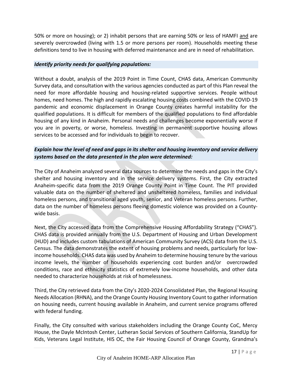50% or more on housing); or 2) inhabit persons that are earning 50% or less of HAMFI and are severely overcrowded (living with 1.5 or more persons per room). Households meeting these definitions tend to live in housing with deferred maintenance and are in need of rehabilitation.

#### *Identify priority needs for qualifying populations:*

Without a doubt, analysis of the 2019 Point in Time Count, CHAS data, American Community Survey data, and consultation with the various agencies conducted as part of this Plan reveal the need for more affordable housing and housing-related supportive services. People without homes, need homes. The high and rapidly escalating housing costs combined with the COVID-19 pandemic and economic displacement in Orange County creates harmful instability for the qualified populations. It is difficult for members of the qualified populations to find affordable housing of any kind in Anaheim. Personal needs and challenges become exponentially worse if you are in poverty, or worse, homeless. Investing in permanent supportive housing allows services to be accessed and for individuals to begin to recover.

#### *Explain how the level of need and gaps in its shelter and housing inventory and service delivery systems based on the data presented in the plan were determined:*

The City of Anaheim analyzed several data sources to determine the needs and gaps in the City's shelter and housing inventory and in the service delivery systems. First, the City extracted Anaheim-specific data from the 2019 Orange County Point in Time Count. The PIT provided valuable data on the number of sheltered and unsheltered homeless, families and individual homeless persons, and transitional aged youth, senior, and Veteran homeless persons. Further, data on the number of homeless persons fleeing domestic violence was provided on a Countywide basis.

Next, the City accessed data from the Comprehensive Housing Affordability Strategy ("CHAS"). CHAS data is provided annually from the U.S. Department of Housing and Urban Development (HUD) and includes custom tabulations of American Community Survey (ACS) data from the U.S. Census. The data demonstrates the extent of housing problems and needs, particularly for lowincome households. CHAS data was used by Anaheim to determine housing tenure by the various income levels, the number of households experiencing cost burden and/or overcrowded conditions, race and ethnicity statistics of extremely low-income households, and other data needed to characterize households at risk of homelessness.

Third, the City retrieved data from the City's 2020-2024 Consolidated Plan, the Regional Housing Needs Allocation (RHNA), and the Orange County Housing Inventory Count to gather information on housing needs, current housing available in Anaheim, and current service programs offered with federal funding.

Finally, the City consulted with various stakeholders including the Orange County CoC, Mercy House, the Dayle McIntosh Center, Lutheran Social Services of Southern California, StandUp for Kids, Veterans Legal Institute, HIS OC, the Fair Housing Council of Orange County, Grandma's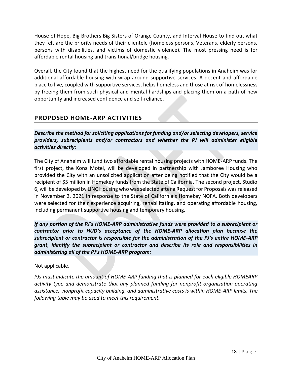<span id="page-19-0"></span>House of Hope, Big Brothers Big Sisters of Orange County, and Interval House to find out what they felt are the priority needs of their clientele (homeless persons, Veterans, elderly persons, persons with disabilities, and victims of domestic violence). The most pressing need is for affordable rental housing and transitional/bridge housing.

Overall, the City found that the highest need for the qualifying populations in Anaheim was for additional affordable housing with wrap-around supportive services. A decent and affordable place to live, coupled with supportive services, helps homeless and those at risk of homelessness by freeing them from such physical and mental hardships and placing them on a path of new opportunity and increased confidence and self-reliance.

### **PROPOSED HOME-ARP ACTIVITIES**

*Describe the method for soliciting applications for funding and/or selecting developers, service providers, subrecipients and/or contractors and whether the PJ will administer eligible activities directly:*

The City of Anaheim will fund two affordable rental housing projects with HOME-ARP funds. The first project, the Kona Motel, will be developed in partnership with Jamboree Housing who provided the City with an unsolicited application after being notified that the City would be a recipient of \$5 million in Homekey funds from the State of California. The second project, Studio 6, will be developed by LINC Housing who was selected after a Request for Proposals was released in November 2, 2021 in response to the State of California's Homekey NOFA. Both developers were selected for their experience acquiring, rehabilitating, and operating affordable housing, including permanent supportive housing and temporary housing.

*If any portion of the PJ's HOME-ARP administrative funds were provided to a subrecipient or contractor prior to HUD's acceptance of the HOME-ARP allocation plan because the subrecipient or contractor is responsible for the administration of the PJ's entire HOME-ARP grant, identify the subrecipient or contractor and describe its role and responsibilities in administering all of the PJ's HOME-ARP program:*

#### Not applicable.

*PJs must indicate the amount of HOME-ARP funding that is planned for each eligible HOMEARP activity type and demonstrate that any planned funding for nonprofit organization operating assistance, nonprofit capacity building, and administrative costs is within HOME-ARP limits. The following table may be used to meet this requirement.*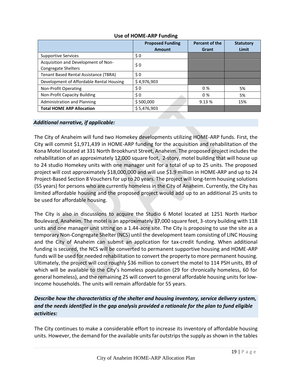| Use of HOME-ARP Funding |  |
|-------------------------|--|
|-------------------------|--|

|                                                                   | <b>Proposed Funding</b><br><b>Amount</b> | Percent of the<br>Grant | <b>Statutory</b><br>Limit |
|-------------------------------------------------------------------|------------------------------------------|-------------------------|---------------------------|
| <b>Supportive Services</b>                                        | \$0                                      |                         |                           |
| Acquisition and Development of Non-<br><b>Congregate Shelters</b> | \$0                                      |                         |                           |
| Tenant Based Rental Assistance (TBRA)                             | \$0                                      |                         |                           |
| Development of Affordable Rental Housing                          | \$4,976,903                              |                         |                           |
| Non-Profit Operating                                              | \$0                                      | $0\%$                   | 5%                        |
| Non-Profit Capacity Building                                      | \$0                                      | $0\%$                   | 5%                        |
| Administration and Planning                                       | \$500,000                                | 9.13%                   | 15%                       |
| <b>Total HOME ARP Allocation</b>                                  | \$5,476,903                              |                         |                           |

#### *Additional narrative, if applicable:*

The City of Anaheim will fund two Homekey developments utilizing HOME-ARP funds. First, the City will commit \$1,971,439 in HOME-ARP funding for the acquisition and rehabilitation of the Kona Motel located at 331 North Brookhurst Street, Anaheim. The proposed project includes the rehabilitation of an approximately 12,000 square foot, 2-story, motel building that will house up to 24 studio Homekey units with one manager unit for a total of up to 25 units. The proposed project will cost approximately \$18,000,000 and will use \$1.9 million in HOME-ARP and up to 24 Project-Based Section 8 Vouchers for up to 20 years. The project will long-term housing solutions (55 years) for persons who are currently homeless in the City of Anaheim. Currently, the City has limited affordable housing and the proposed project would add up to an additional 25 units to be used for affordable housing.

The City is also in discussions to acquire the Studio 6 Motel located at 1251 North Harbor Boulevard, Anaheim. The motel is an approximately 37,000 square feet, 3-story building with 118 units and one manager unit sitting on a 1.44-acre site. The City is proposing to use the site as a temporary Non-Congregate Shelter (NCS) until the development team consisting of LINC Housing and the City of Anaheim can submit an application for tax-credit funding. When additional funding is secured, the NCS will be converted to permanent supportive housing and HOME-ARP funds will be used for needed rehabilitation to convert the property to more permanent housing. Ultimately, the project will cost roughly \$36 million to convert the motel to 114 PSH units, 89 of which will be available to the City's homeless population (29 for chronically homeless, 60 for general homeless), and the remaining 25 will convert to general affordable housing units for lowincome households. The units will remain affordable for 55 years.

#### *Describe how the characteristics of the shelter and housing inventory, service delivery system, and the needs identified in the gap analysis provided a rationale for the plan to fund eligible activities:*

The City continues to make a considerable effort to increase its inventory of affordable housing units. However, the demand for the available units far outstripsthe supply as shown in the tables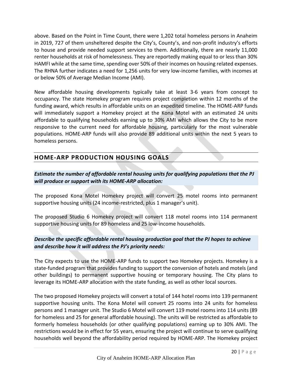<span id="page-21-0"></span>above. Based on the Point in Time Count, there were 1,202 total homeless persons in Anaheim in 2019, 727 of them unsheltered despite the City's, County's, and non-profit industry's efforts to house and provide needed support services to them. Additionally, there are nearly 11,000 renter households at risk of homelessness. They are reportedly making equal to or less than 30% HAMFI while at the same time, spending over 50% of their incomes on housing related expenses. The RHNA further indicates a need for 1,256 units for very low-income families, with incomes at or below 50% of Average Median Income (AMI).

New affordable housing developments typically take at least 3‐6 years from concept to occupancy. The state Homekey program requires project completion within 12 months of the funding award, which results in affordable units on an expedited timeline. The HOME‐ARP funds will immediately support a Homekey project at the Kona Motel with an estimated 24 units affordable to qualifying households earning up to 30% AMI which allows the City to be more responsive to the current need for affordable housing, particularly for the most vulnerable populations. HOME-ARP funds will also provide 89 additional units within the next 5 years to homeless persons.

## **HOME-ARP PRODUCTION HOUSING GOALS**

#### *Estimate the number of affordable rental housing units for qualifying populations that the PJ will produce or support with its HOME-ARP allocation:*

The proposed Kona Motel Homekey project will convert 25 motel rooms into permanent supportive housing units (24 income-restricted, plus 1 manager's unit).

The proposed Studio 6 Homekey project will convert 118 motel rooms into 114 permanent supportive housing units for 89 homeless and 25 low-income households.

#### *Describe the specific affordable rental housing production goal that the PJ hopes to achieve and describe how it will address the PJ's priority needs:*

The City expects to use the HOME‐ARP funds to support two Homekey projects. Homekey is a state‐funded program that provides funding to support the conversion of hotels and motels (and other buildings) to permanent supportive housing or temporary housing. The City plans to leverage its HOME‐ARP allocation with the state funding, as well as other local sources.

The two proposed Homekey projects will convert a total of 144 hotel rooms into 139 permanent supportive housing units. The Kona Motel will convert 25 rooms into 24 units for homeless persons and 1 manager unit. The Studio 6 Motel will convert 119 motel rooms into 114 units (89 for homeless and 25 for general affordable housing). The units will be restricted as affordable to formerly homeless households (or other qualifying populations) earning up to 30% AMI. The restrictions would be in effect for 55 years, ensuring the project will continue to serve qualifying households well beyond the affordability period required by HOME‐ARP. The Homekey project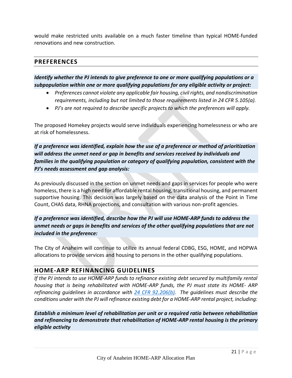<span id="page-22-0"></span>would make restricted units available on a much faster timeline than typical HOME‐funded renovations and new construction.

#### **PREFERENCES**

*Identify whether the PJ intends to give preference to one or more qualifying populations or a subpopulation within one or more qualifying populations for any eligible activity or project:*

- *Preferences cannot violate any applicable fair housing, civil rights, and nondiscrimination requirements, including but not limited to those requirements listed in 24 CFR 5.105(a).*
- *PJ's are not required to describe specific projects to which the preferences will apply.*

The proposed Homekey projects would serve individuals experiencing homelessness or who are at risk of homelessness.

*If a preference was identified, explain how the use of a preference or method of prioritization will address the unmet need or gap in benefits and services received by individuals and families in the qualifying population or category of qualifying population, consistent with the PJ's needs assessment and gap analysis:*

As previously discussed in the section on unmet needs and gaps in services for people who were homeless, there is a high need for affordable rental housing, transitional housing, and permanent supportive housing. This decision was largely based on the data analysis of the Point in Time Count, CHAS data, RHNA projections, and consultation with various non-profit agencies.

*If a preference was identified, describe how the PJ will use HOME-ARP funds to address the unmet needs or gaps in benefits and services of the other qualifying populations that are not included in the preference:*

The City of Anaheim will continue to utilize its annual federal CDBG, ESG, HOME, and HOPWA allocations to provide services and housing to persons in the other qualifying populations.

#### **HOME-ARP REFINANCING GUIDELINES**

*If the PJ intends to use HOME-ARP funds to refinance existing debt secured by multifamily rental housing that is being rehabilitated with HOME-ARP funds, the PJ must state its HOME- ARP refinancing guidelines in accordance with 24 CFR 92.206(b). The guidelines must describe the conditions under with the PJ will refinance existing debt for a HOME-ARP rental project, including:*

*Establish a minimum level of rehabilitation per unit or a required ratio between rehabilitation and refinancing to demonstrate that rehabilitation of HOME-ARP rental housing is the primary eligible activity*